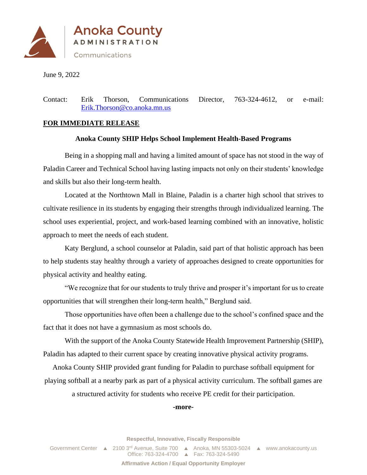

June 9, 2022

Contact: Erik Thorson, Communications Director, 763-324-4612, or e-mail: [Erik.Thorson@co.anoka.mn.us](mailto:Erik.Thorson@co.anoka.mn.us)

## **FOR IMMEDIATE RELEASE**

## **Anoka County SHIP Helps School Implement Health-Based Programs**

Being in a shopping mall and having a limited amount of space has not stood in the way of Paladin Career and Technical School having lasting impacts not only on their students' knowledge and skills but also their long-term health.

Located at the Northtown Mall in Blaine, Paladin is a charter high school that strives to cultivate resilience in its students by engaging their strengths through individualized learning. The school uses experiential, project, and work-based learning combined with an innovative, holistic approach to meet the needs of each student.

Katy Berglund, a school counselor at Paladin, said part of that holistic approach has been to help students stay healthy through a variety of approaches designed to create opportunities for physical activity and healthy eating.

"We recognize that for our students to truly thrive and prosper it's important for us to create opportunities that will strengthen their long-term health," Berglund said.

Those opportunities have often been a challenge due to the school's confined space and the fact that it does not have a gymnasium as most schools do.

With the support of the Anoka County Statewide Health Improvement Partnership (SHIP), Paladin has adapted to their current space by creating innovative physical activity programs.

Anoka County SHIP provided grant funding for Paladin to purchase softball equipment for playing softball at a nearby park as part of a physical activity curriculum. The softball games are

a structured activity for students who receive PE credit for their participation.

## **-more-**

**Respectful, Innovative, Fiscally Responsible**

Government Center ▲ 2100 3<sup>rd</sup> Avenue, Suite 700 ▲ Anoka, MN 55303-5024 ▲ www.anokacounty.us Office: 763-324-4700 Fax: 763-324-5490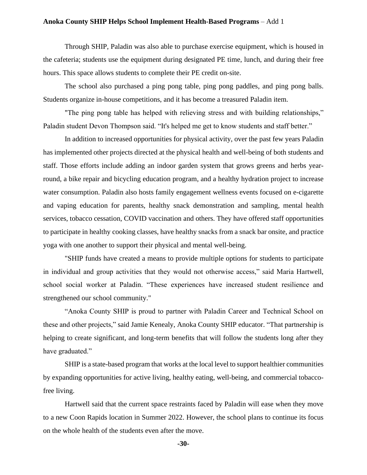## **Anoka County SHIP Helps School Implement Health-Based Programs** – Add 1

Through SHIP, Paladin was also able to purchase exercise equipment, which is housed in the cafeteria; students use the equipment during designated PE time, lunch, and during their free hours. This space allows students to complete their PE credit on-site.

The school also purchased a ping pong table, ping pong paddles, and ping pong balls. Students organize in-house competitions, and it has become a treasured Paladin item.

"The ping pong table has helped with relieving stress and with building relationships," Paladin student Devon Thompson said. "It's helped me get to know students and staff better."

In addition to increased opportunities for physical activity, over the past few years Paladin has implemented other projects directed at the physical health and well-being of both students and staff. Those efforts include adding an indoor garden system that grows greens and herbs yearround, a bike repair and bicycling education program, and a healthy hydration project to increase water consumption. Paladin also hosts family engagement wellness events focused on e-cigarette and vaping education for parents, healthy snack demonstration and sampling, mental health services, tobacco cessation, COVID vaccination and others. They have offered staff opportunities to participate in healthy cooking classes, have healthy snacks from a snack bar onsite, and practice yoga with one another to support their physical and mental well-being.

"SHIP funds have created a means to provide multiple options for students to participate in individual and group activities that they would not otherwise access," said Maria Hartwell, school social worker at Paladin. "These experiences have increased student resilience and strengthened our school community."

"Anoka County SHIP is proud to partner with Paladin Career and Technical School on these and other projects," said Jamie Kenealy, Anoka County SHIP educator. "That partnership is helping to create significant, and long-term benefits that will follow the students long after they have graduated."

SHIP is a state-based program that works at the local level to support healthier communities by expanding opportunities for active living, healthy eating, well-being, and commercial tobaccofree living.

Hartwell said that the current space restraints faced by Paladin will ease when they move to a new Coon Rapids location in Summer 2022. However, the school plans to continue its focus on the whole health of the students even after the move.